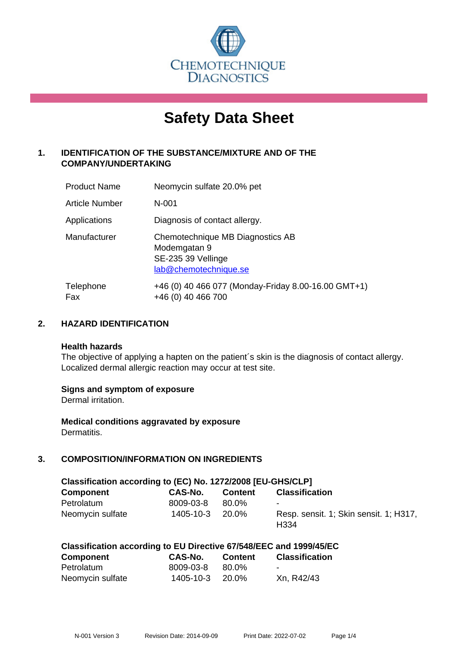

# **Safety Data Sheet**

# **1. IDENTIFICATION OF THE SUBSTANCE/MIXTURE AND OF THE COMPANY/UNDERTAKING**

| <b>Product Name</b> | Neomycin sulfate 20.0% pet                                                                      |
|---------------------|-------------------------------------------------------------------------------------------------|
| Article Number      | $N - 001$                                                                                       |
| Applications        | Diagnosis of contact allergy.                                                                   |
| Manufacturer        | Chemotechnique MB Diagnostics AB<br>Modemgatan 9<br>SE-235 39 Vellinge<br>lab@chemotechnique.se |
| Telephone<br>Fax    | +46 (0) 40 466 077 (Monday-Friday 8.00-16.00 GMT+1)<br>+46 (0) 40 466 700                       |

## **2. HAZARD IDENTIFICATION**

#### **Health hazards**

The objective of applying a hapten on the patient's skin is the diagnosis of contact allergy. Localized dermal allergic reaction may occur at test site.

## **Signs and symptom of exposure**

Dermal irritation.

**Medical conditions aggravated by exposure** Dermatitis.

# **3. COMPOSITION/INFORMATION ON INGREDIENTS**

| Classification according to (EC) No. 1272/2008 [EU-GHS/CLP] |           |                |                                                            |  |  |
|-------------------------------------------------------------|-----------|----------------|------------------------------------------------------------|--|--|
| <b>Component</b>                                            | CAS-No.   | <b>Content</b> | <b>Classification</b>                                      |  |  |
| Petrolatum                                                  | 8009-03-8 | 80.0%          | $\blacksquare$                                             |  |  |
| Neomycin sulfate                                            | 1405-10-3 | 20.0%          | Resp. sensit. 1; Skin sensit. 1; H317,<br>H <sub>334</sub> |  |  |

|  | Classification according to EU Directive 67/548/EEC and 1999/45/EC |
|--|--------------------------------------------------------------------|
|--|--------------------------------------------------------------------|

| <b>Component</b> | CAS-No.   | <b>Content</b> | <b>Classification</b> |
|------------------|-----------|----------------|-----------------------|
| Petrolatum       | 8009-03-8 | 80.0%          | $\sim$                |
| Neomycin sulfate | 1405-10-3 | -20.0%         | Xn, R42/43            |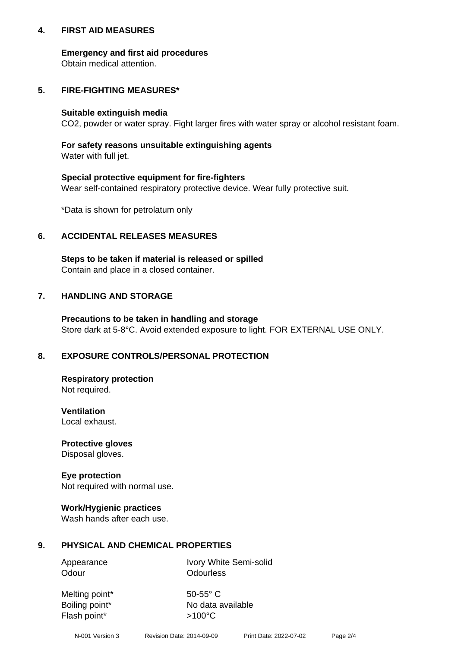## **4. FIRST AID MEASURES**

## **Emergency and first aid procedures**

Obtain medical attention.

# **5. FIRE-FIGHTING MEASURES\***

#### **Suitable extinguish media**

CO2, powder or water spray. Fight larger fires with water spray or alcohol resistant foam.

# **For safety reasons unsuitable extinguishing agents**

Water with full jet.

## **Special protective equipment for fire-fighters**

Wear self-contained respiratory protective device. Wear fully protective suit.

\*Data is shown for petrolatum only

## **6. ACCIDENTAL RELEASES MEASURES**

**Steps to be taken if material is released or spilled** Contain and place in a closed container.

# **7. HANDLING AND STORAGE**

**Precautions to be taken in handling and storage** Store dark at 5-8°C. Avoid extended exposure to light. FOR EXTERNAL USE ONLY.

# **8. EXPOSURE CONTROLS/PERSONAL PROTECTION**

**Respiratory protection** Not required.

**Ventilation** Local exhaust.

**Protective gloves** Disposal gloves.

#### **Eye protection** Not required with normal use.

## **Work/Hygienic practices**

Wash hands after each use.

## **9. PHYSICAL AND CHEMICAL PROPERTIES**

Odour **Odourless** 

Appearance Ivory White Semi-solid

Melting point\* 50-55° C Flash point\*  $>100^{\circ}$ C

Boiling point\* No data available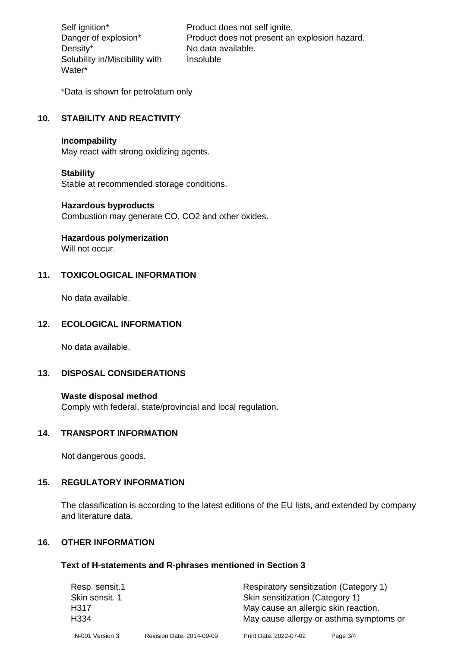Density\* No data available. Solubility in/Miscibility with Water\*

Self ignition\* Product does not self ignite. Danger of explosion\* Product does not present an explosion hazard. Insoluble

\*Data is shown for petrolatum only

# **10. STABILITY AND REACTIVITY**

#### **Incompability**

May react with strong oxidizing agents.

#### **Stability**

Stable at recommended storage conditions.

#### **Hazardous byproducts**

Combustion may generate CO, CO2 and other oxides.

**Hazardous polymerization**

Will not occur.

## **11. TOXICOLOGICAL INFORMATION**

No data available.

## **12. ECOLOGICAL INFORMATION**

No data available.

## **13. DISPOSAL CONSIDERATIONS**

#### **Waste disposal method**

Comply with federal, state/provincial and local regulation.

#### **14. TRANSPORT INFORMATION**

Not dangerous goods.

## **15. REGULATORY INFORMATION**

The classification is according to the latest editions of the EU lists, and extended by company and literature data.

#### **16. OTHER INFORMATION**

#### **Text of H-statements and R-phrases mentioned in Section 3**

| Resp. sensit.1   |                           | Respiratory sensitization (Category 1)  |          |  |
|------------------|---------------------------|-----------------------------------------|----------|--|
| Skin sensit. 1   |                           | Skin sensitization (Category 1)         |          |  |
| H317             |                           | May cause an allergic skin reaction.    |          |  |
| H <sub>334</sub> |                           | May cause allergy or asthma symptoms or |          |  |
| N-001 Version 3  | Revision Date: 2014-09-09 | Print Date: 2022-07-02                  | Page 3/4 |  |